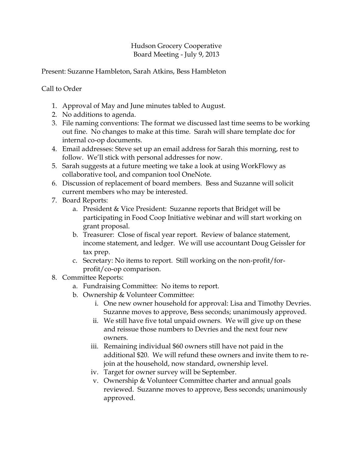## Hudson Grocery Cooperative Board Meeting - July 9, 2013

Present: Suzanne Hambleton, Sarah Atkins, Bess Hambleton

## Call to Order

- 1. Approval of May and June minutes tabled to August.
- 2. No additions to agenda.
- 3. File naming conventions: The format we discussed last time seems to be working out fine. No changes to make at this time. Sarah will share template doc for internal co-op documents.
- 4. Email addresses: Steve set up an email address for Sarah this morning, rest to follow. We'll stick with personal addresses for now.
- 5. Sarah suggests at a future meeting we take a look at using WorkFlowy as collaborative tool, and companion tool OneNote.
- 6. Discussion of replacement of board members. Bess and Suzanne will solicit current members who may be interested.
- 7. Board Reports:
	- a. President & Vice President: Suzanne reports that Bridget will be participating in Food Coop Initiative webinar and will start working on grant proposal.
	- b. Treasurer: Close of fiscal year report. Review of balance statement, income statement, and ledger. We will use accountant Doug Geissler for tax prep.
	- c. Secretary: No items to report. Still working on the non-profit/forprofit/co-op comparison.
- 8. Committee Reports:
	- a. Fundraising Committee: No items to report.
	- b. Ownership & Volunteer Committee:
		- i. One new owner household for approval: Lisa and Timothy Devries. Suzanne moves to approve, Bess seconds; unanimously approved.
		- ii. We still have five total unpaid owners. We will give up on these and reissue those numbers to Devries and the next four new owners.
		- iii. Remaining individual \$60 owners still have not paid in the additional \$20. We will refund these owners and invite them to rejoin at the household, now standard, ownership level.
		- iv. Target for owner survey will be September.
		- v. Ownership & Volunteer Committee charter and annual goals reviewed. Suzanne moves to approve, Bess seconds; unanimously approved.